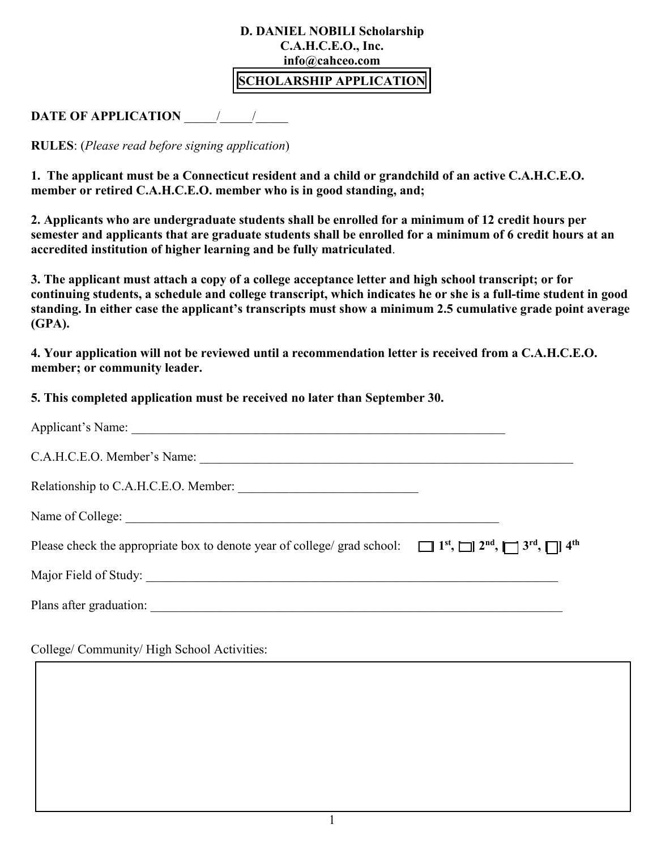## **D. DANIEL NOBILI Scholarship C.A.H.C.E.O., Inc. info@cahceo.com**

## **SCHOLARSHIP APPLICATION**

## **DATE OF APPLICATION** \_\_\_\_\_/\_\_\_\_\_/\_\_\_\_\_

**RULES**: (*Please read before signing application*)

**1. The applicant must be a Connecticut resident and a child or grandchild of an active C.A.H.C.E.O. member or retired C.A.H.C.E.O. member who is in good standing, and;** 

**2. Applicants who are undergraduate students shall be enrolled for a minimum of 12 credit hours per semester and applicants that are graduate students shall be enrolled for a minimum of 6 credit hours at an accredited institution of higher learning and be fully matriculated**.

**3. The applicant must attach a copy of a college acceptance letter and high school transcript; or for continuing students, a schedule and college transcript, which indicates he or she is a full-time student in good standing. In either case the applicant's transcripts must show a minimum 2.5 cumulative grade point average (GPA).** 

**4. Your application will not be reviewed until a recommendation letter is received from a C.A.H.C.E.O. member; or community leader.** 

**5. This completed application must be received no later than September 30.** 

| C.A.H.C.E.O. Member's Name:                                                                                                                                                |  |
|----------------------------------------------------------------------------------------------------------------------------------------------------------------------------|--|
|                                                                                                                                                                            |  |
|                                                                                                                                                                            |  |
| Please check the appropriate box to denote year of college/ grad school: $\Box$ 1 <sup>st</sup> , $\Box$ 1 <sup>st</sup> , $\Box$ 3 <sup>rd</sup> , $\Box$ 4 <sup>th</sup> |  |
|                                                                                                                                                                            |  |
|                                                                                                                                                                            |  |
|                                                                                                                                                                            |  |

College/ Community/ High School Activities: